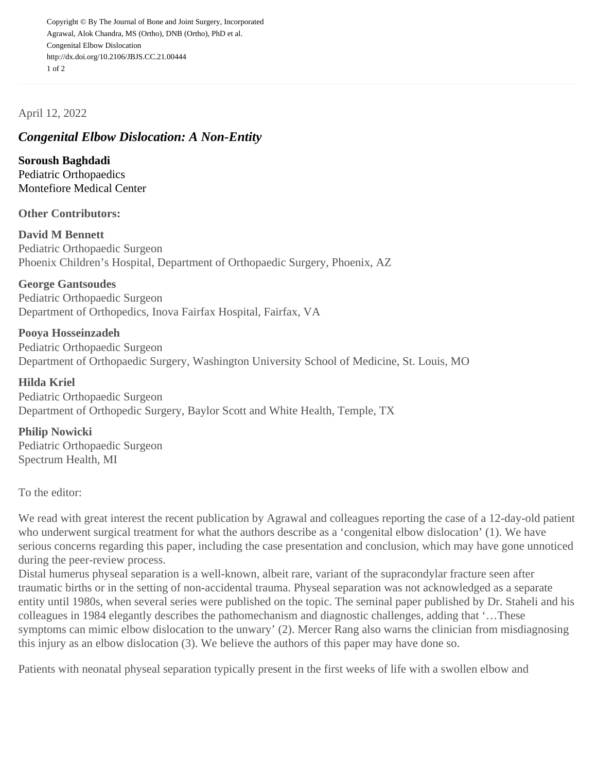Copyright © By The Journal of Bone and Joint Surgery, Incorporated Agrawal, Alok Chandra, MS (Ortho), DNB (Ortho), PhD et al. Congenital Elbow Dislocation http://dx.doi.org/10.2106/JBJS.CC.21.00444 1 of 2

April 12, 2022

## Congenital Elbow Dislocation: A Non-Entity

Soroush Baghdadi Pediatric Orthopaedics [Montefiore Medical Center](mailto:baghdadi.soroush@gmail.com)

Other Contributors:

David M Bennett Pediatric Orthopaedic Surgeon Phoenix Children's Hospital, Department of Orthopaedic Surgery, Phoenix, AZ

George Gantsoudes Pediatric Orthopaedic Surgeon Department of Orthopedics, Inova Fairfax Hospital, Fairfax, VA

Pooya Hosseinzadeh Pediatric Orthopaedic Surgeon Department of Orthopaedic Surgery, Washington University School of Medicine, St. Louis, MO

Hilda Kriel Pediatric Orthopaedic Surgeon Department of Orthopedic Surgery, Baylor Scott and White Health, Temple, TX

Philip Nowicki Pediatric Orthopaedic Surgeon Spectrum Health, MI

To the editor:

We read with great interest the recent publication by Agrawal and colleagues reporting the case of a 12-day-old who underwent surgical treatment for what the authors describe as a 'congenital elbow dislocation' (1). We have serious concerns regarding this paper, including the case presentation and conclusion, which may have gone un during the peer-review process.

Distal humerus physeal separation is a well-known, albeit rare, variant of the supracondylar fracture seen after traumatic births or in the setting of non-accidental trauma. Physeal separation was not acknowledged as a separ entity until 1980s, when several series were published on the topic. The seminal paper published by Dr. Staheli colleagues in 1984 elegantly describes the pathomechanism and diagnostic challenges, adding that '…These symptoms can mimic elbow dislocation to the unwary' (2). Mercer Rang also warns the clinician from misdiagnos this injury as an elbow dislocation (3). We believe the authors of this paper may have done so.

Patients with neonatal physeal separation typically present in the first weeks of life with a swollen elbow and